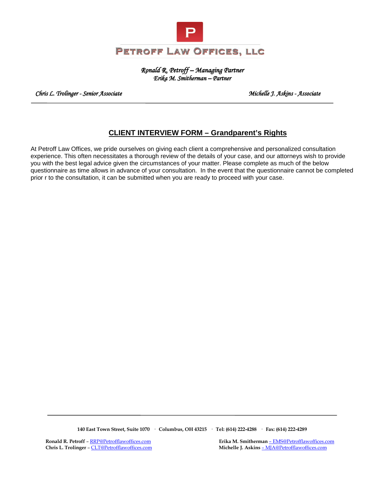

*Ronald R. Petroff – Managing Partner Erika M. Smitherman – Partner* 

 *Chris L. Trolinger - Senior Associate Michelle J. Askins - Associate* 

## **CLIENT INTERVIEW FORM – Grandparent's Rights**

At Petroff Law Offices, we pride ourselves on giving each client a comprehensive and personalized consultation experience. This often necessitates a thorough review of the details of your case, and our attorneys wish to provide you with the best legal advice given the circumstances of your matter. Please complete as much of the below questionnaire as time allows in advance of your consultation. In the event that the questionnaire cannot be completed prior r to the consultation, it can be submitted when you are ready to proceed with your case.

**140 East Town Street, Suite 1070 · Columbus, OH 43215 · Tel: (614) 222-4288 · Fax: (614) 222-4289**

**Ronald R. Petroff** – <u>RRP@Petrofflawoffices.com</u> **Erika M. Smitherman** [– EMS@Petrofflawoffices.com](mailto:%E2%80%93%20EMS@Petrofflawoffices.com) **EMS**<br> **Erika M. Smitherman** – EMS@Petrofflawoffices.com **EXECUTE:** Michelle J. Askins – MJA@Petrofflawoffices.com Michelle J. Askins – MJA@Petrofflawoffices.com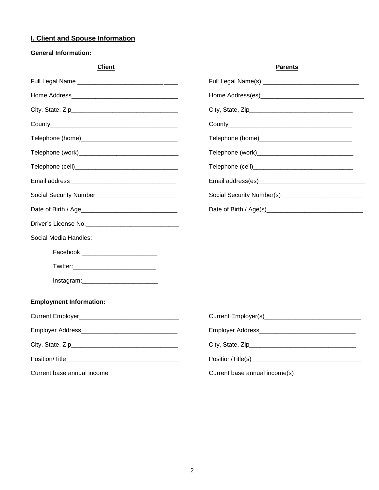## **I. Client and Spouse Information**

## **General Information:**

| <b>Client</b>                                                                                                  | <b>Parents</b>                               |
|----------------------------------------------------------------------------------------------------------------|----------------------------------------------|
|                                                                                                                |                                              |
| Home Address <b>Example 2018</b>                                                                               |                                              |
|                                                                                                                |                                              |
|                                                                                                                |                                              |
|                                                                                                                |                                              |
|                                                                                                                |                                              |
|                                                                                                                |                                              |
|                                                                                                                |                                              |
|                                                                                                                |                                              |
|                                                                                                                |                                              |
|                                                                                                                |                                              |
| Social Media Handles:                                                                                          |                                              |
| Facebook __________________________                                                                            |                                              |
|                                                                                                                |                                              |
| Instagram: the contract of the contract of the contract of the contract of the contract of the contract of the |                                              |
| <b>Employment Information:</b>                                                                                 |                                              |
|                                                                                                                |                                              |
|                                                                                                                |                                              |
|                                                                                                                |                                              |
|                                                                                                                |                                              |
| Current base annual income                                                                                     | Current base annual income(s)_______________ |